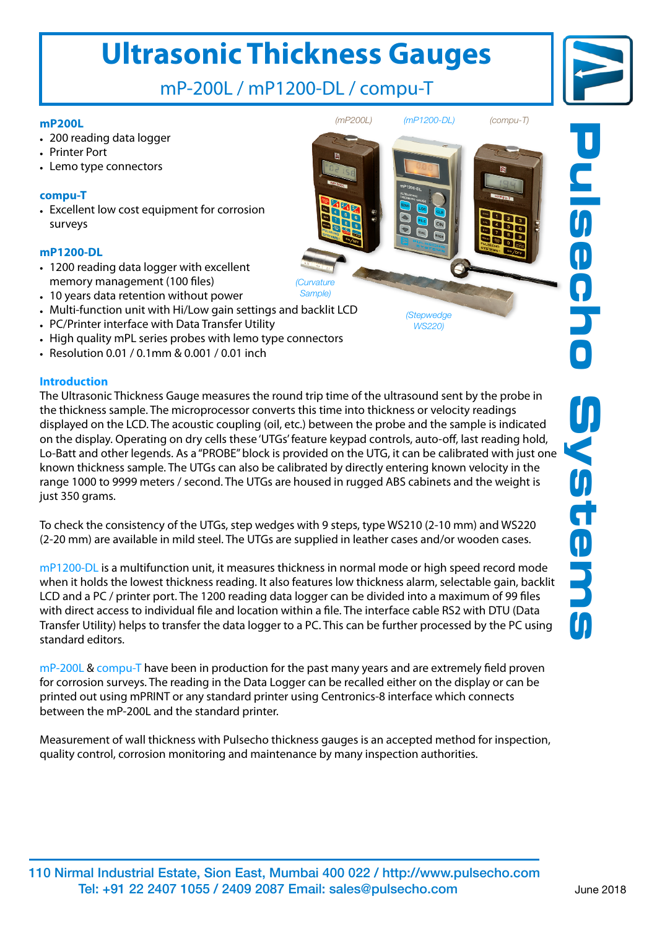# **Ultrasonic Thickness Gauges**

mP-200L / mP1200-DL / compu-T

#### **mP200L**

- 200 reading data logger
- Printer Port
- Lemo type connectors

### **compu-T**

• Excellent low cost equipment for corrosion surveys

#### **mP1200-DL**

- 1200 reading data logger with excellent memory management (100 files)
- 10 years data retention without power
- Multi-function unit with Hi/Low gain settings and backlit LCD
- PC/Printer interface with Data Transfer Utility
- High quality mPL series probes with lemo type connectors
- Resolution 0.01 / 0.1mm & 0.001 / 0.01 inch

#### **Introduction**

The Ultrasonic Thickness Gauge measures the round trip time of the ultrasound sent by the probe in the thickness sample. The microprocessor converts this time into thickness or velocity readings displayed on the LCD. The acoustic coupling (oil, etc.) between the probe and the sample is indicated on the display. Operating on dry cells these 'UTGs' feature keypad controls, auto-off, last reading hold, Lo-Batt and other legends. As a "PROBE" block is provided on the UTG, it can be calibrated with just one known thickness sample. The UTGs can also be calibrated by directly entering known velocity in the range 1000 to 9999 meters / second. The UTGs are housed in rugged ABS cabinets and the weight is just 350 grams.

To check the consistency of the UTGs, step wedges with 9 steps, type WS210 (2-10 mm) and WS220 (2-20 mm) are available in mild steel. The UTGs are supplied in leather cases and/or wooden cases.

mP1200-DL is a multifunction unit, it measures thickness in normal mode or high speed record mode when it holds the lowest thickness reading. It also features low thickness alarm, selectable gain, backlit LCD and a PC / printer port. The 1200 reading data logger can be divided into a maximum of 99 files with direct access to individual file and location within a file. The interface cable RS2 with DTU (Data Transfer Utility) helps to transfer the data logger to a PC. This can be further processed by the PC using standard editors.

mP-200L & compu-T have been in production for the past many years and are extremely field proven for corrosion surveys. The reading in the Data Logger can be recalled either on the display or can be printed out using mPRINT or any standard printer using Centronics-8 interface which connects between the mP-200L and the standard printer.

Measurement of wall thickness with Pulsecho thickness gauges is an accepted method for inspection, quality control, corrosion monitoring and maintenance by many inspection authorities.





*(Curvature Sample)*

*(Stepwedge WS220)*

*(mP200L) (mP1200-DL) (compu-T)*